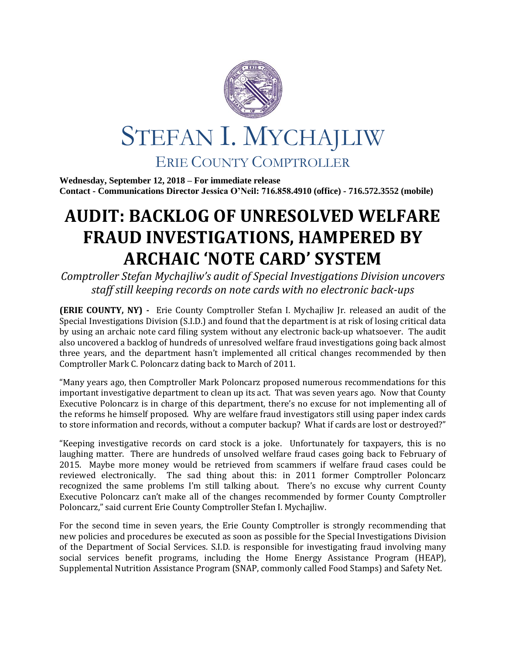

**Wednesday, September 12, 2018 – For immediate release Contact - Communications Director Jessica O'Neil: 716.858.4910 (office) - 716.572.3552 (mobile)**

## **AUDIT: BACKLOG OF UNRESOLVED WELFARE FRAUD INVESTIGATIONS, HAMPERED BY ARCHAIC 'NOTE CARD' SYSTEM**

*Comptroller Stefan Mychajliw's audit of Special Investigations Division uncovers staff still keeping records on note cards with no electronic back-ups*

**(ERIE COUNTY, NY) -** Erie County Comptroller Stefan I. Mychajliw Jr. released an audit of the Special Investigations Division (S.I.D.) and found that the department is at risk of losing critical data by using an archaic note card filing system without any electronic back-up whatsoever. The audit also uncovered a backlog of hundreds of unresolved welfare fraud investigations going back almost three years, and the department hasn't implemented all critical changes recommended by then Comptroller Mark C. Poloncarz dating back to March of 2011.

"Many years ago, then Comptroller Mark Poloncarz proposed numerous recommendations for this important investigative department to clean up its act. That was seven years ago. Now that County Executive Poloncarz is in charge of this department, there's no excuse for not implementing all of the reforms he himself proposed. Why are welfare fraud investigators still using paper index cards to store information and records, without a computer backup? What if cards are lost or destroyed?"

"Keeping investigative records on card stock is a joke. Unfortunately for taxpayers, this is no laughing matter. There are hundreds of unsolved welfare fraud cases going back to February of 2015. Maybe more money would be retrieved from scammers if welfare fraud cases could be reviewed electronically. The sad thing about this: in 2011 former Comptroller Poloncarz recognized the same problems I'm still talking about. There's no excuse why current County Executive Poloncarz can't make all of the changes recommended by former County Comptroller Poloncarz," said current Erie County Comptroller Stefan I. Mychajliw.

For the second time in seven years, the Erie County Comptroller is strongly recommending that new policies and procedures be executed as soon as possible for the Special Investigations Division of the Department of Social Services. S.I.D. is responsible for investigating fraud involving many social services benefit programs, including the Home Energy Assistance Program (HEAP), Supplemental Nutrition Assistance Program (SNAP, commonly called Food Stamps) and Safety Net.